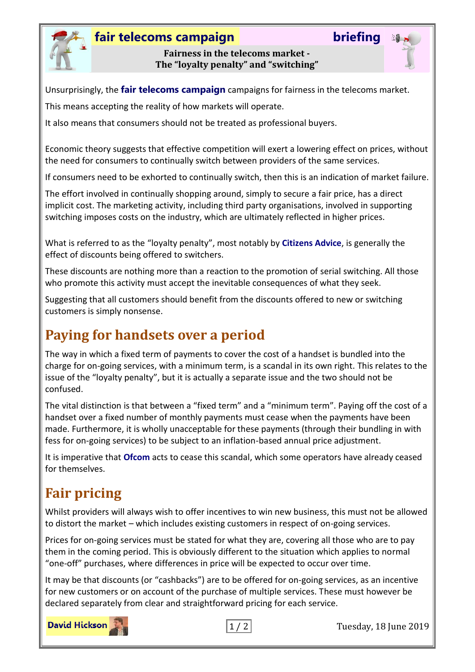

### **fair telecoms campaign briefing**



**Fairness in the telecoms market - The "loyalty penalty" and "switching"**

Unsurprisingly, the **fair telecoms campaign** campaigns for fairness in the telecoms market.

This means accepting the reality of how markets will operate.

It also means that consumers should not be treated as professional buyers.

Economic theory suggests that effective competition will exert a lowering effect on prices, without the need for consumers to continually switch between providers of the same services.

If consumers need to be exhorted to continually switch, then this is an indication of market failure.

The effort involved in continually shopping around, simply to secure a fair price, has a direct implicit cost. The marketing activity, including third party organisations, involved in supporting switching imposes costs on the industry, which are ultimately reflected in higher prices.

What is referred to as the "loyalty penalty", most notably by **Citizens Advice**, is generally the effect of discounts being offered to switchers.

These discounts are nothing more than a reaction to the promotion of serial switching. All those who promote this activity must accept the inevitable consequences of what they seek.

Suggesting that all customers should benefit from the discounts offered to new or switching customers is simply nonsense.

# **Paying for handsets over a period**

The way in which a fixed term of payments to cover the cost of a handset is bundled into the charge for on-going services, with a minimum term, is a scandal in its own right. This relates to the issue of the "loyalty penalty", but it is actually a separate issue and the two should not be confused.

The vital distinction is that between a "fixed term" and a "minimum term". Paying off the cost of a handset over a fixed number of monthly payments must cease when the payments have been made. Furthermore, it is wholly unacceptable for these payments (through their bundling in with fess for on-going services) to be subject to an inflation-based annual price adjustment.

It is imperative that **Ofcom** acts to cease this scandal, which some operators have already ceased for themselves.

# **Fair pricing**

Whilst providers will always wish to offer incentives to win new business, this must not be allowed to distort the market – which includes existing customers in respect of on-going services.

Prices for on-going services must be stated for what they are, covering all those who are to pay them in the coming period. This is obviously different to the situation which applies to normal "one-off" purchases, where differences in price will be expected to occur over time.

It may be that discounts (or "cashbacks") are to be offered for on-going services, as an incentive for new customers or on account of the purchase of multiple services. These must however be declared separately from clear and straightforward pricing for each service.





1 / 2 Tuesday, 18 June 2019